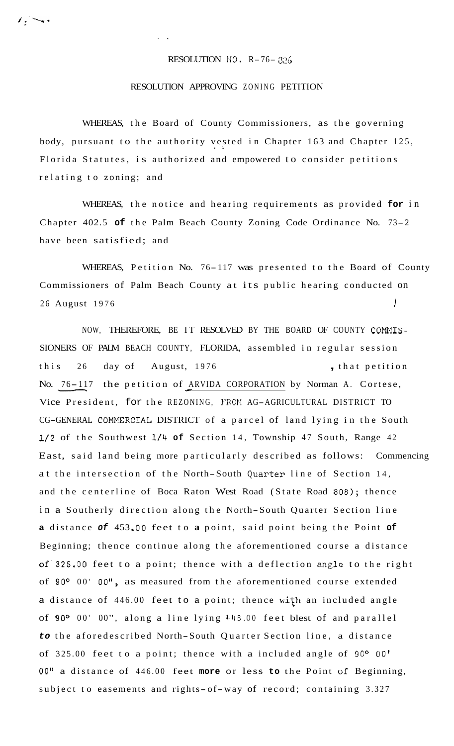RESOLUTION NO. R-76- 326

. ..

## RESOLUTION APPROVING ZONING PETITION

WHEREAS, the Board of County Commissioners, as the governing body, pursuant to the authority vested in Chapter 163 and Chapter 125, Florida Statutes, is authorized and empowered to consider petitions relating to zoning; and

WHEREAS, the notice and hearing requirements as provided **for** in Chapter 402.5 **of** the Palm Beach County Zoning Code Ordinance No. 73- <sup>2</sup> have been satisfied; and

WHEREAS, Petition No. 76-117 was presented to the Board of County Commissioners of Palm Beach County at its public hearing conducted on 26 August 1976 I

NOW, THEREFORE, BE IT RESOLVED BY THE BOARD OF COUNTY COMMIS-SIONERS OF PALM BEACH COUNTY, FLORIDA, assembled in regular session this 26 day of August, 1976 , that petition No. 76- 117 the petition of ARVIDA CORPORATION by Norman A. Cortese, Vice President, for the REZONING, FROM AG-AGRICULTURAL DISTRICT TO CG-GENERAL COMMERCIAL DISTRICT of a parcel of land lying in the South NOW, THEREFORE, BE IT<br>
NERS OF PALM BEACH COUNTY,<br>
s 26 day of August, 1<br>
<u>76-11</u>7 the petition of <u>AR</u><br>
President, for the REZONI **1/2** of the Southwest **114 of** Section 14, Township 47 South, Range 42 East, said land being more particularly described as follows: Commencing at the intersection of the North-South Quarter line of Section 14, and the centerline of Boca Raton West Road (State Road 808); thence in a Southerly direction along the North-South Quarter Section line **a** distance *of* 453 **.OO** feet to **a** point, said point being the Point **of**  Beginning; thence continue along the aforementioned course a distance **of'325.00** feet to a point; thence with a deflection angle to the right of **90°** 00' **OO",** as measured from the aforementioned course extended a distance of 446.00 feet to a point; thence with an included angle of **90°** 00' 00", along a line lying 4116 .OO feet blest of and parallel *to* the aforedescribed North-South Quarter Section line, a distance of 325.00 feet to a point; thence with a included angle of **90°** 00' **00"** a distance of 446.00 feet **more** or less **to** the Point **oi** Beginning, subject to easements and rights- of-way of record; containing 3.327

ويسترخ